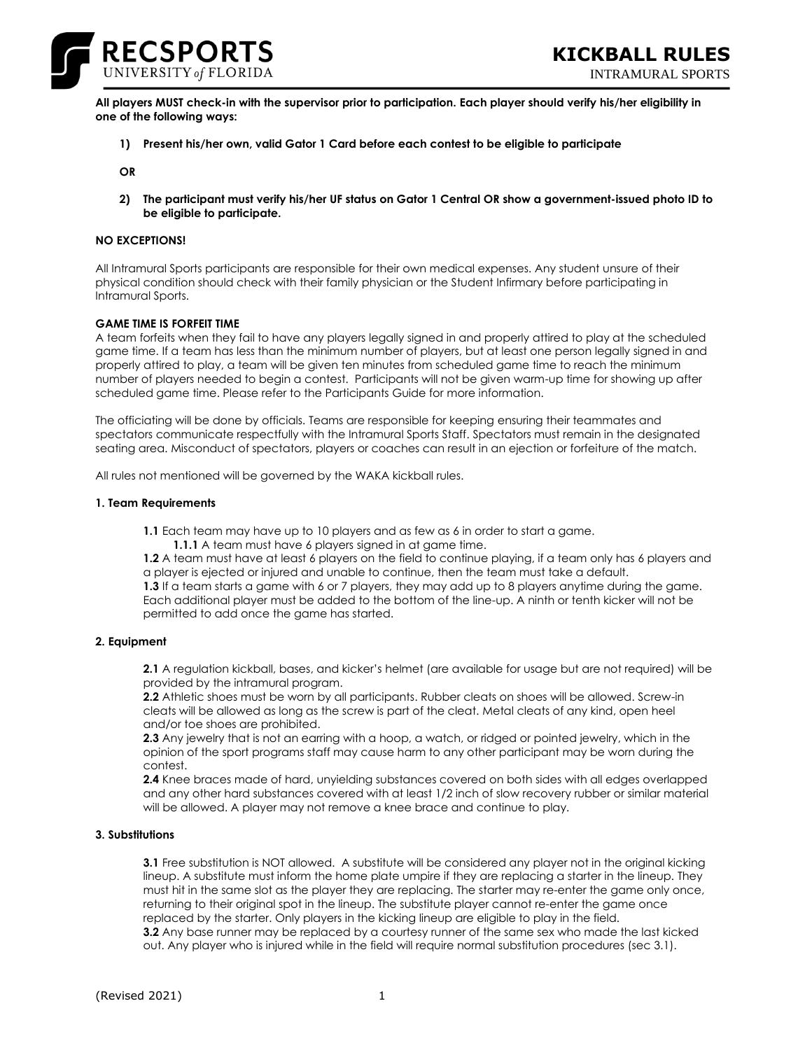

INTRAMURAL SPORTS

**All players MUST check-in with the supervisor prior to participation. Each player should verify his/her eligibility in one of the following ways:**

**1) Present his/her own, valid Gator 1 Card before each contest to be eligible to participate**

**OR**

**2) The participant must verify his/her UF status on Gator 1 Central OR show a government-issued photo ID to be eligible to participate.**

# **NO EXCEPTIONS!**

All Intramural Sports participants are responsible for their own medical expenses. Any student unsure of their physical condition should check with their family physician or the Student Infirmary before participating in Intramural Sports.

### **GAME TIME IS FORFEIT TIME**

A team forfeits when they fail to have any players legally signed in and properly attired to play at the scheduled game time. If a team has less than the minimum number of players, but at least one person legally signed in and properly attired to play, a team will be given ten minutes from scheduled game time to reach the minimum number of players needed to begin a contest. Participants will not be given warm-up time for showing up after scheduled game time. Please refer to the Participants Guide for more information.

The officiating will be done by officials. Teams are responsible for keeping ensuring their teammates and spectators communicate respectfully with the Intramural Sports Staff. Spectators must remain in the designated seating area. Misconduct of spectators, players or coaches can result in an ejection or forfeiture of the match.

All rules not mentioned will be governed by the WAKA kickball rules.

#### **1. Team Requirements**

**1.1** Each team may have up to 10 players and as few as 6 in order to start a game.

**1.1.1** A team must have 6 players signed in at game time.

**1.2** A team must have at least 6 players on the field to continue playing, if a team only has 6 players and a player is ejected or injured and unable to continue, then the team must take a default.

**1.3** If a team starts a game with 6 or 7 players, they may add up to 8 players anytime during the game. Each additional player must be added to the bottom of the line-up. A ninth or tenth kicker will not be permitted to add once the game has started.

### **2. Equipment**

**2.1** A regulation kickball, bases, and kicker's helmet (are available for usage but are not required) will be provided by the intramural program.

**2.2** Athletic shoes must be worn by all participants. Rubber cleats on shoes will be allowed. Screw-in cleats will be allowed as long as the screw is part of the cleat. Metal cleats of any kind, open heel and/or toe shoes are prohibited.

**2.3** Any jewelry that is not an earring with a hoop, a watch, or ridged or pointed jewelry, which in the opinion of the sport programs staff may cause harm to any other participant may be worn during the contest.

**2.4** Knee braces made of hard, unyielding substances covered on both sides with all edges overlapped and any other hard substances covered with at least 1/2 inch of slow recovery rubber or similar material will be allowed. A player may not remove a knee brace and continue to play.

## **3. Substitutions**

**3.1** Free substitution is NOT allowed. A substitute will be considered any player not in the original kicking lineup. A substitute must inform the home plate umpire if they are replacing a starter in the lineup. They must hit in the same slot as the player they are replacing. The starter may re-enter the game only once, returning to their original spot in the lineup. The substitute player cannot re-enter the game once replaced by the starter. Only players in the kicking lineup are eligible to play in the field. **3.2** Any base runner may be replaced by a courtesy runner of the same sex who made the last kicked out. Any player who is injured while in the field will require normal substitution procedures (sec 3.1).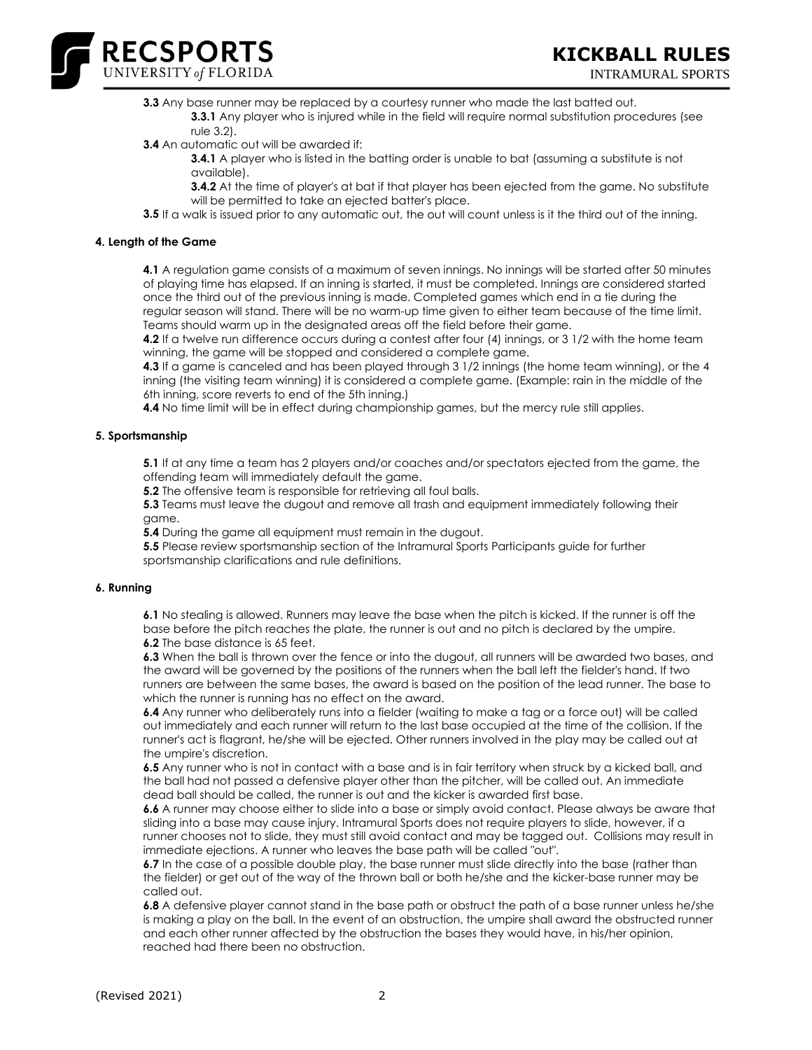

**3.3** Any base runner may be replaced by a courtesy runner who made the last batted out. **3.3.1** Any player who is injured while in the field will require normal substitution procedures (see

- rule 3.2).
- **3.4** An automatic out will be awarded if:
	- **3.4.1** A player who is listed in the batting order is unable to bat (assuming a substitute is not available).
	- **3.4.2** At the time of player's at bat if that player has been ejected from the game. No substitute will be permitted to take an ejected batter's place.
- **3.5** If a walk is issued prior to any automatic out, the out will count unless is it the third out of the inning.

# **4. Length of the Game**

**4.1** A regulation game consists of a maximum of seven innings. No innings will be started after 50 minutes of playing time has elapsed. If an inning is started, it must be completed. Innings are considered started once the third out of the previous inning is made. Completed games which end in a tie during the regular season will stand. There will be no warm-up time given to either team because of the time limit. Teams should warm up in the designated areas off the field before their game.

**4.2** If a twelve run difference occurs during a contest after four (4) innings, or 3 1/2 with the home team winning, the game will be stopped and considered a complete game.

**4.3** If a game is canceled and has been played through 3 1/2 innings (the home team winning), or the 4 inning (the visiting team winning) it is considered a complete game. (Example: rain in the middle of the 6th inning, score reverts to end of the 5th inning.)

**4.4** No time limit will be in effect during championship games, but the mercy rule still applies.

# **5. Sportsmanship**

**5.1** If at any time a team has 2 players and/or coaches and/or spectators ejected from the game, the offending team will immediately default the game.

**5.2** The offensive team is responsible for retrieving all foul balls.

**5.3** Teams must leave the dugout and remove all trash and equipment immediately following their game.

**5.4** During the game all equipment must remain in the dugout.

**5.5** Please review sportsmanship section of the Intramural Sports Participants guide for further sportsmanship clarifications and rule definitions.

## **6. Running**

**6.1** No stealing is allowed. Runners may leave the base when the pitch is kicked. If the runner is off the base before the pitch reaches the plate, the runner is out and no pitch is declared by the umpire. **6.2** The base distance is 65 feet.

**6.3** When the ball is thrown over the fence or into the dugout, all runners will be awarded two bases, and the award will be governed by the positions of the runners when the ball left the fielder's hand. If two runners are between the same bases, the award is based on the position of the lead runner. The base to which the runner is running has no effect on the award.

**6.4** Any runner who deliberately runs into a fielder (waiting to make a tag or a force out) will be called out immediately and each runner will return to the last base occupied at the time of the collision. If the runner's act is flagrant, he/she will be ejected. Other runners involved in the play may be called out at the umpire's discretion.

**6.5** Any runner who is not in contact with a base and is in fair territory when struck by a kicked ball, and the ball had not passed a defensive player other than the pitcher, will be called out. An immediate dead ball should be called, the runner is out and the kicker is awarded first base.

**6.6** A runner may choose either to slide into a base or simply avoid contact. Please always be aware that sliding into a base may cause injury. Intramural Sports does not require players to slide, however, if a runner chooses not to slide, they must still avoid contact and may be tagged out. Collisions may result in immediate ejections. A runner who leaves the base path will be called "out".

**6.7** In the case of a possible double play, the base runner must slide directly into the base (rather than the fielder) or get out of the way of the thrown ball or both he/she and the kicker-base runner may be called out.

**6.8** A defensive player cannot stand in the base path or obstruct the path of a base runner unless he/she is making a play on the ball. In the event of an obstruction, the umpire shall award the obstructed runner and each other runner affected by the obstruction the bases they would have, in his/her opinion, reached had there been no obstruction.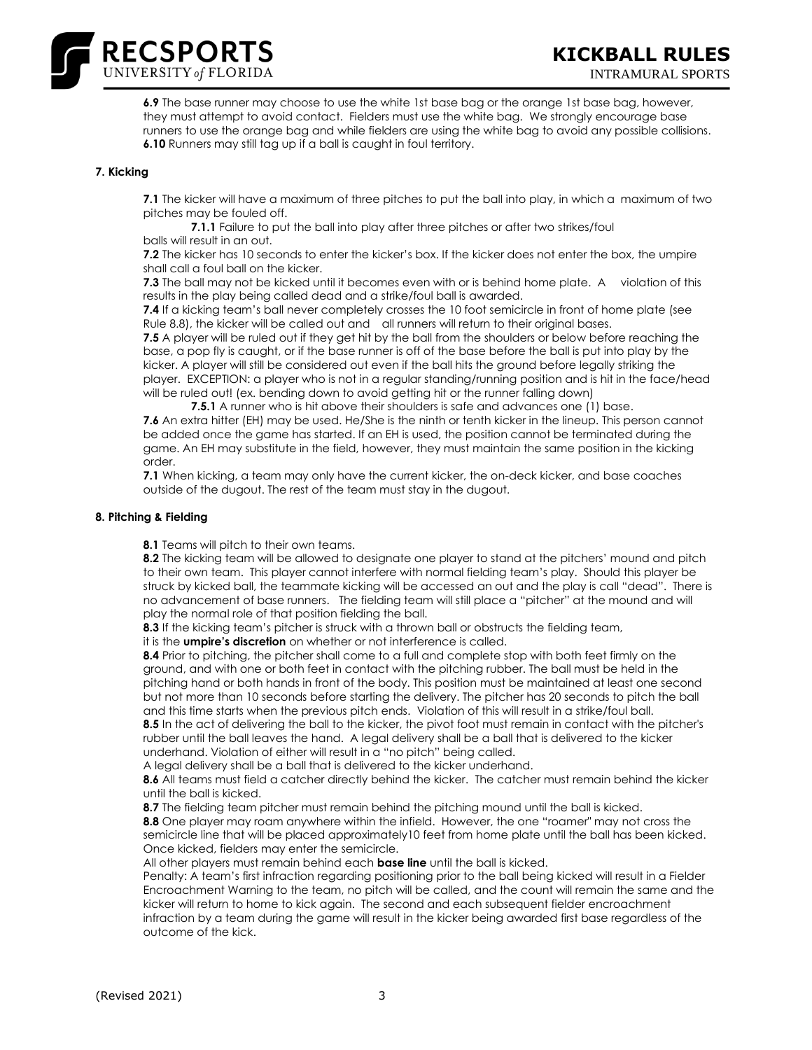

**6.9** The base runner may choose to use the white 1st base bag or the orange 1st base bag, however, they must attempt to avoid contact. Fielders must use the white bag. We strongly encourage base runners to use the orange bag and while fielders are using the white bag to avoid any possible collisions. **6.10** Runners may still tag up if a ball is caught in foul territory.

## **7. Kicking**

**7.1** The kicker will have a maximum of three pitches to put the ball into play, in which a maximum of two pitches may be fouled off.

**7.1.1** Failure to put the ball into play after three pitches or after two strikes/foul balls will result in an out.

**7.2** The kicker has 10 seconds to enter the kicker's box. If the kicker does not enter the box, the umpire shall call a foul ball on the kicker.

**7.3** The ball may not be kicked until it becomes even with or is behind home plate. A violation of this results in the play being called dead and a strike/foul ball is awarded.

**7.4** If a kicking team's ball never completely crosses the 10 foot semicircle in front of home plate (see Rule 8.8), the kicker will be called out and all runners will return to their original bases.

**7.5** A player will be ruled out if they get hit by the ball from the shoulders or below before reaching the base, a pop fly is caught, or if the base runner is off of the base before the ball is put into play by the kicker. A player will still be considered out even if the ball hits the ground before legally striking the player. EXCEPTION: a player who is not in a regular standing/running position and is hit in the face/head will be ruled out! (ex. bending down to avoid getting hit or the runner falling down)

**7.5.1** A runner who is hit above their shoulders is safe and advances one (1) base. **7.6** An extra hitter (EH) may be used. He/She is the ninth or tenth kicker in the lineup. This person cannot be added once the game has started. If an EH is used, the position cannot be terminated during the game. An EH may substitute in the field, however, they must maintain the same position in the kicking order.

**7.1** When kicking, a team may only have the current kicker, the on-deck kicker, and base coaches outside of the dugout. The rest of the team must stay in the dugout.

#### **8. Pitching & Fielding**

**8.1** Teams will pitch to their own teams.

**8.2** The kicking team will be allowed to designate one player to stand at the pitchers' mound and pitch to their own team. This player cannot interfere with normal fielding team's play. Should this player be struck by kicked ball, the teammate kicking will be accessed an out and the play is call "dead". There is no advancement of base runners. The fielding team will still place a "pitcher" at the mound and will play the normal role of that position fielding the ball.

**8.3** If the kicking team's pitcher is struck with a thrown ball or obstructs the fielding team,

it is the **umpire's discretion** on whether or not interference is called.

**8.4** Prior to pitching, the pitcher shall come to a full and complete stop with both feet firmly on the ground, and with one or both feet in contact with the pitching rubber. The ball must be held in the pitching hand or both hands in front of the body. This position must be maintained at least one second but not more than 10 seconds before starting the delivery. The pitcher has 20 seconds to pitch the ball and this time starts when the previous pitch ends. Violation of this will result in a strike/foul ball.

**8.5** In the act of delivering the ball to the kicker, the pivot foot must remain in contact with the pitcher's rubber until the ball leaves the hand. A legal delivery shall be a ball that is delivered to the kicker underhand. Violation of either will result in a "no pitch" being called.

A legal delivery shall be a ball that is delivered to the kicker underhand.

**8.6** All teams must field a catcher directly behind the kicker. The catcher must remain behind the kicker until the ball is kicked.

**8.7** The fielding team pitcher must remain behind the pitching mound until the ball is kicked. **8.8** One player may roam anywhere within the infield. However, the one "roamer" may not cross the semicircle line that will be placed approximately10 feet from home plate until the ball has been kicked. Once kicked, fielders may enter the semicircle.

All other players must remain behind each **base line** until the ball is kicked.

Penalty: A team's first infraction regarding positioning prior to the ball being kicked will result in a Fielder Encroachment Warning to the team, no pitch will be called, and the count will remain the same and the kicker will return to home to kick again. The second and each subsequent fielder encroachment infraction by a team during the game will result in the kicker being awarded first base regardless of the outcome of the kick.